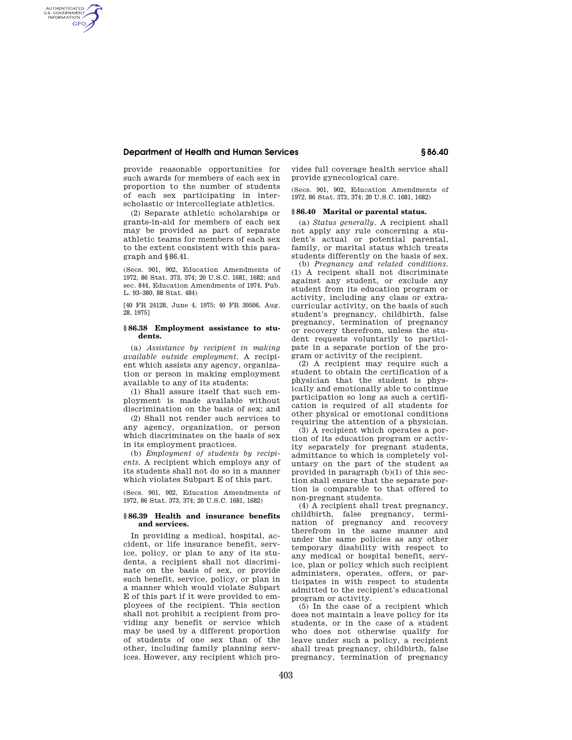# **Department of Health and Human Services § 86.40**

AUTHENTICATED<br>U.S. GOVERNMENT<br>INFORMATION **GPO** 

> provide reasonable opportunities for such awards for members of each sex in proportion to the number of students of each sex participating in interscholastic or intercollegiate athletics.

> (2) Separate athletic scholarships or grants-in-aid for members of each sex may be provided as part of separate athletic teams for members of each sex to the extent consistent with this paragraph and §86.41.

> (Secs. 901, 902, Education Amendments of 1972, 86 Stat. 373, 374; 20 U.S.C. 1681, 1682; and sec. 844, Education Amendments of 1974, Pub. L. 93–380, 88 Stat. 484)

> [40 FR 24128, June 4, 1975; 40 FR 39506, Aug. 28, 1975]

## **§ 86.38 Employment assistance to students.**

(a) *Assistance by recipient in making available outside employment.* A recipient which assists any agency, organization or person in making employment available to any of its students:

(1) Shall assure itself that such employment is made available without discrimination on the basis of sex; and

(2) Shall not render such services to any agency, organization, or person which discriminates on the basis of sex in its employment practices.

(b) *Employment of students by recipients.* A recipient which employs any of its students shall not do so in a manner which violates Subpart E of this part.

(Secs. 901, 902, Education Amendments of 1972, 86 Stat. 373, 374; 20 U.S.C. 1681, 1682)

## **§ 86.39 Health and insurance benefits and services.**

In providing a medical, hospital, accident, or life insurance benefit, service, policy, or plan to any of its students, a recipient shall not discriminate on the basis of sex, or provide such benefit, service, policy, or plan in a manner which would violate Subpart E of this part if it were provided to employees of the recipient. This section shall not prohibit a recipient from providing any benefit or service which may be used by a different proportion of students of one sex than of the other, including family planning services. However, any recipient which provides full coverage health service shall provide gynecological care.

(Secs. 901, 902, Education Amendments of 1972, 86 Stat. 373, 374; 20 U.S.C. 1681, 1682)

#### **§ 86.40 Marital or parental status.**

(a) *Status generally.* A recipient shall not apply any rule concerning a student's actual or potential parental, family, or marital status which treats students differently on the basis of sex.

(b) *Pregnancy and related conditions.*  (1) A recipent shall not discriminate against any student, or exclude any student from its education program or activity, including any class or extracurricular activity, on the basis of such student's pregnancy, childbirth, false pregnancy, termination of pregnancy or recovery therefrom, unless the student requests voluntarily to participate in a separate portion of the program or activity of the recipient.

(2) A recipient may require such a student to obtain the certification of a physician that the student is physically and emotionally able to continue participation so long as such a certification is required of all students for other physical or emotional conditions requiring the attention of a physician.

(3) A recipient which operates a portion of its education program or activity separately for pregnant students, admittance to which is completely voluntary on the part of the student as provided in paragraph (b)(1) of this section shall ensure that the separate portion is comparable to that offered to non-pregnant students.

(4) A recipient shall treat pregnancy, childbirth, false pregnancy, termination of pregnancy and recovery therefrom in the same manner and under the same policies as any other temporary disability with respect to any medical or hospital benefit, service, plan or policy which such recipient administers, operates, offers, or participates in with respect to students admitted to the recipient's educational program or activity.

(5) In the case of a recipient which does not maintain a leave policy for its students, or in the case of a student who does not otherwise qualify for leave under such a policy, a recipient shall treat pregnancy, childbirth, false pregnancy, termination of pregnancy